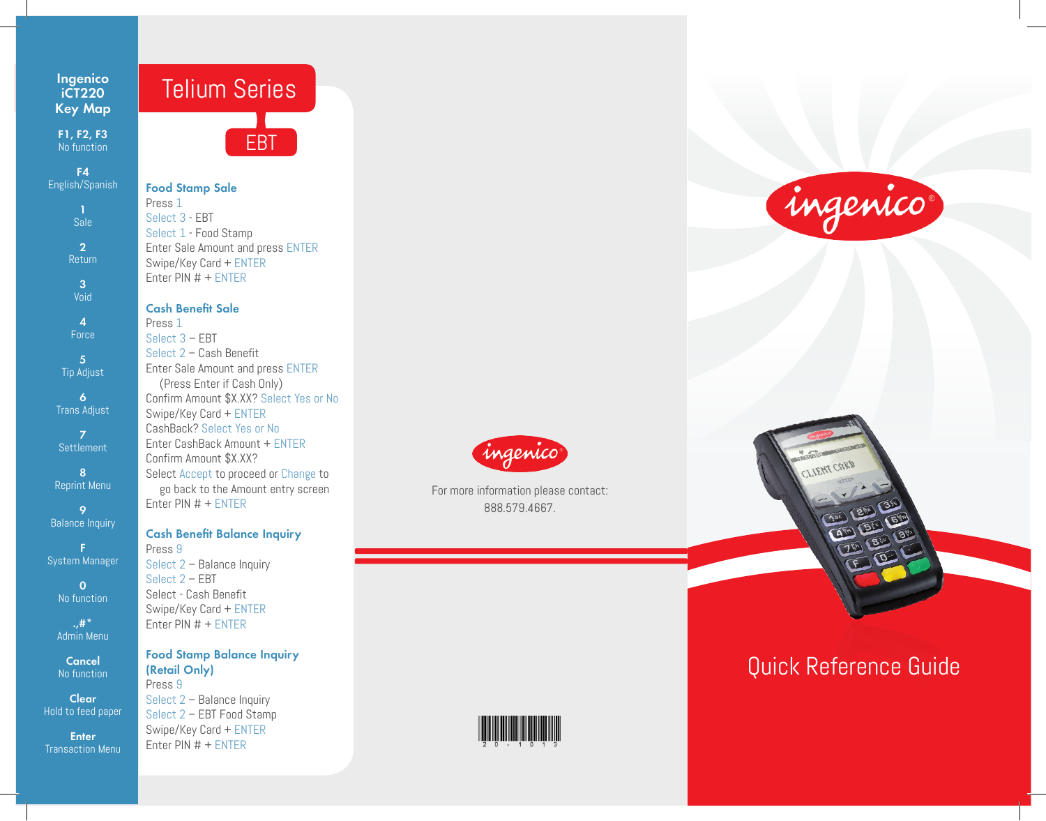# **Ingenico iCT220 Key Map**

**F1, F2, F3** No function

**F4** English/Spanish **1** Sale **2** Return

> **3** Void

**4** Force

**5**  Tip Adjust

**6** Trans Adjust

**7 Settlement** 

**8** Reprint Menu

**9 Balance Inquiry** 

**F** System Manager

> **0**  No function

> **.,#\***  Admin Menu

**Cancel** No function

**Clear** Hold to feed paper

**Enter** Transaction Menu



### **Food Stamp Sale**

Press 1 Select 3 - EBT Select 1 - Food Stamp Enter Sale Amount and press ENTER Swipe/Key Card + ENTER Enter PIN # + ENTER

## **Cash Benefit Sale**

Press 1 Select 3 – EBT Select 2 – Cash Benefit Enter Sale Amount and press ENTER (Press Enter if Cash Only) Confirm Amount \$X.XX? Select Yes or No Swipe/Key Card + ENTER CashBack? Select Yes or No Enter CashBack Amount + ENTER Confirm Amount \$X.XX? Select Accept to proceed or Change to go back to the Amount entry screen Enter PIN # + ENTER

#### **Cash Benefit Balance Inquiry**

Press 9 Select 2 – Balance Inquiry Select 2 – EBT Select - Cash Benefit Swipe/Key Card + ENTER Enter PIN # + ENTER

# **Food Stamp Balance Inquiry (Retail Only)**

Press 9 Select 2 – Balance Inquiry Select 2 – EBT Food Stamp Swipe/Key Card + ENTER Enter PIN # + ENTER



For more information please contact: 888.579.4667.



# ingenico



# Quick Reference Guide